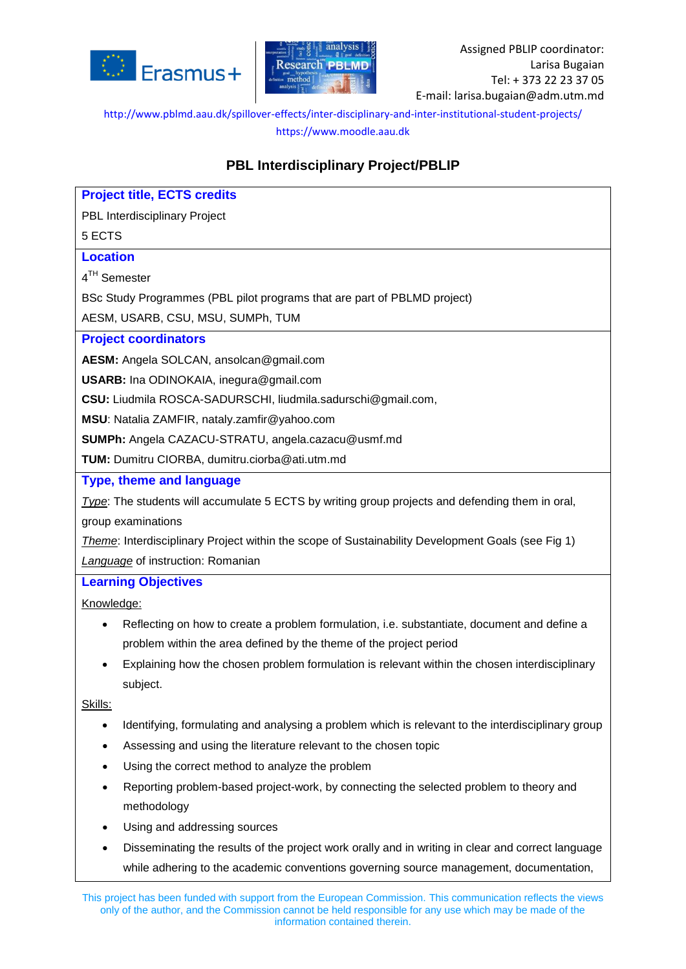



# **PBL Interdisciplinary Project/PBLIP**

| <b>Project title, ECTS credits</b>                                                                |  |  |  |
|---------------------------------------------------------------------------------------------------|--|--|--|
| PBL Interdisciplinary Project                                                                     |  |  |  |
| 5 ECTS                                                                                            |  |  |  |
| <b>Location</b>                                                                                   |  |  |  |
| 4 <sup>TH</sup> Semester                                                                          |  |  |  |
| BSc Study Programmes (PBL pilot programs that are part of PBLMD project)                          |  |  |  |
| AESM, USARB, CSU, MSU, SUMPh, TUM                                                                 |  |  |  |
| <b>Project coordinators</b>                                                                       |  |  |  |
| AESM: Angela SOLCAN, ansolcan@gmail.com                                                           |  |  |  |
| USARB: Ina ODINOKAIA, inegura@gmail.com                                                           |  |  |  |
| CSU: Liudmila ROSCA-SADURSCHI, liudmila.sadurschi@gmail.com,                                      |  |  |  |
| MSU: Natalia ZAMFIR, nataly.zamfir@yahoo.com                                                      |  |  |  |
| SUMPh: Angela CAZACU-STRATU, angela.cazacu@usmf.md                                                |  |  |  |
| TUM: Dumitru CIORBA, dumitru.ciorba@ati.utm.md                                                    |  |  |  |
| Type, theme and language                                                                          |  |  |  |
| Type: The students will accumulate 5 ECTS by writing group projects and defending them in oral,   |  |  |  |
| group examinations                                                                                |  |  |  |
| Theme: Interdisciplinary Project within the scope of Sustainability Development Goals (see Fig 1) |  |  |  |
| <b>Language of instruction: Romanian</b>                                                          |  |  |  |
| <b>Learning Objectives</b>                                                                        |  |  |  |
| Knowledge:                                                                                        |  |  |  |
| Reflecting on how to create a problem formulation, i.e. substantiate, document and define a       |  |  |  |
| problem within the area defined by the theme of the project period                                |  |  |  |
| Explaining how the chosen problem formulation is relevant within the chosen interdisciplinary     |  |  |  |
| subject.                                                                                          |  |  |  |
| Skills:                                                                                           |  |  |  |
| Identifying, formulating and analysing a problem which is relevant to the interdisciplinary group |  |  |  |

- Assessing and using the literature relevant to the chosen topic
- Using the correct method to analyze the problem
- Reporting problem-based project-work, by connecting the selected problem to theory and methodology
- Using and addressing sources
- Disseminating the results of the project work orally and in writing in clear and correct language while adhering to the academic conventions governing source management, documentation,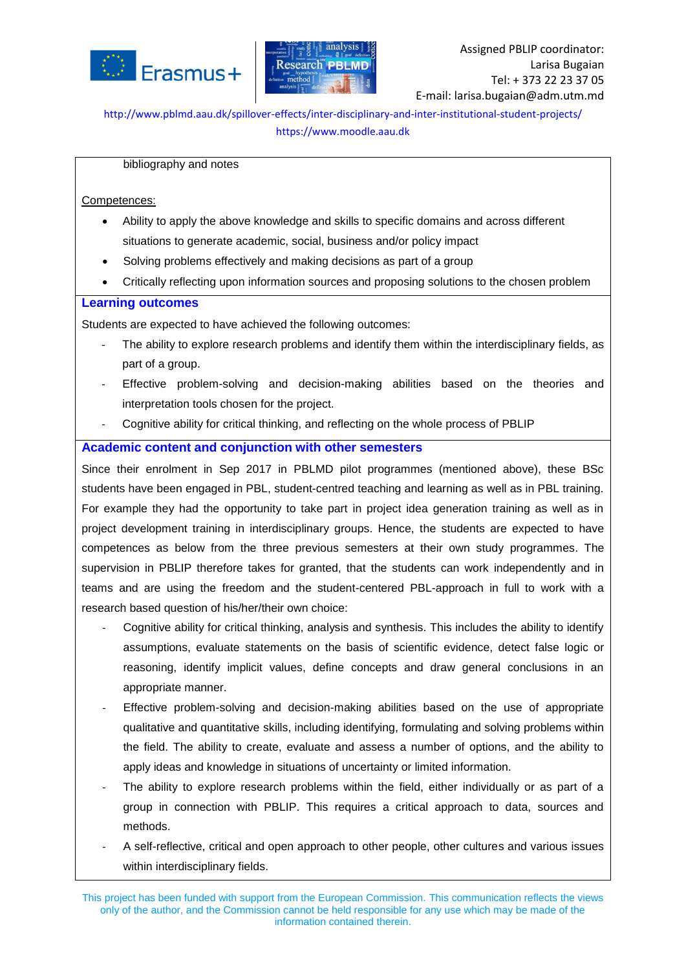



#### bibliography and notes

#### Competences:

- Ability to apply the above knowledge and skills to specific domains and across different situations to generate academic, social, business and/or policy impact
- Solving problems effectively and making decisions as part of a group
- Critically reflecting upon information sources and proposing solutions to the chosen problem

#### **Learning outcomes**

Students are expected to have achieved the following outcomes:

- The ability to explore research problems and identify them within the interdisciplinary fields, as part of a group.
- Effective problem-solving and decision-making abilities based on the theories and interpretation tools chosen for the project.
- Cognitive ability for critical thinking, and reflecting on the whole process of PBLIP

### **Academic content and conjunction with other semesters**

Since their enrolment in Sep 2017 in PBLMD pilot programmes (mentioned above), these BSc students have been engaged in PBL, student-centred teaching and learning as well as in PBL training. For example they had the opportunity to take part in project idea generation training as well as in project development training in interdisciplinary groups. Hence, the students are expected to have competences as below from the three previous semesters at their own study programmes. The supervision in PBLIP therefore takes for granted, that the students can work independently and in teams and are using the freedom and the student-centered PBL-approach in full to work with a research based question of his/her/their own choice:

- Cognitive ability for critical thinking, analysis and synthesis. This includes the ability to identify assumptions, evaluate statements on the basis of scientific evidence, detect false logic or reasoning, identify implicit values, define concepts and draw general conclusions in an appropriate manner.
- Effective problem-solving and decision-making abilities based on the use of appropriate qualitative and quantitative skills, including identifying, formulating and solving problems within the field. The ability to create, evaluate and assess a number of options, and the ability to apply ideas and knowledge in situations of uncertainty or limited information.
- The ability to explore research problems within the field, either individually or as part of a group in connection with PBLIP. This requires a critical approach to data, sources and methods.
- A self-reflective, critical and open approach to other people, other cultures and various issues within interdisciplinary fields.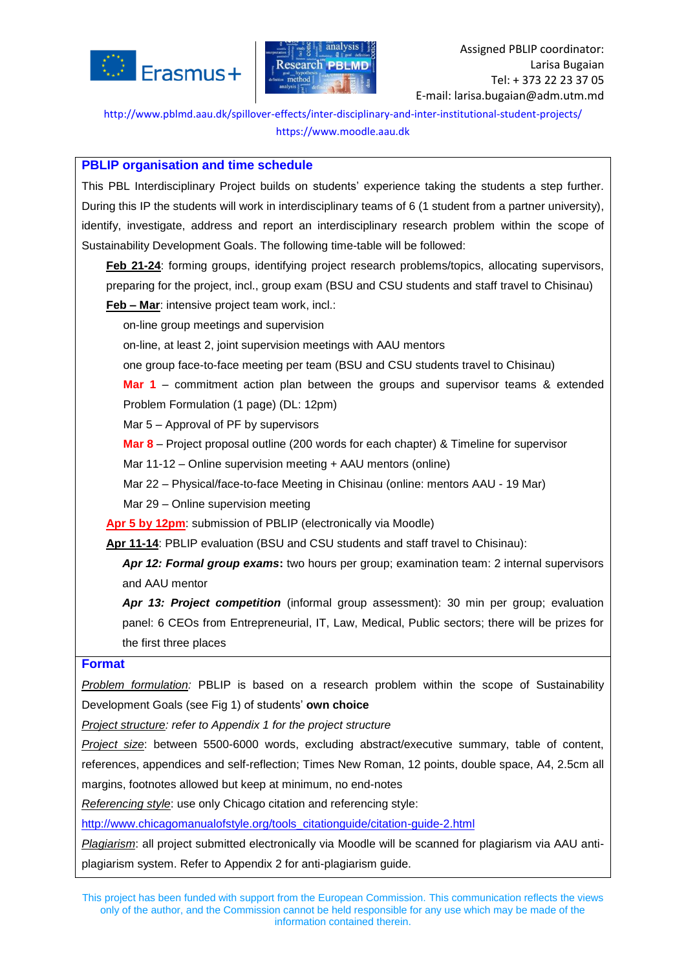



### **PBLIP organisation and time schedule**

This PBL Interdisciplinary Project builds on students' experience taking the students a step further. During this IP the students will work in interdisciplinary teams of 6 (1 student from a partner university), identify, investigate, address and report an interdisciplinary research problem within the scope of Sustainability Development Goals. The following time-table will be followed:

**Feb 21-24**: forming groups, identifying project research problems/topics, allocating supervisors, preparing for the project, incl., group exam (BSU and CSU students and staff travel to Chisinau) **Feb – Mar**: intensive project team work, incl.:

on-line group meetings and supervision

on-line, at least 2, joint supervision meetings with AAU mentors

one group face-to-face meeting per team (BSU and CSU students travel to Chisinau)

**Mar 1** – commitment action plan between the groups and supervisor teams & extended Problem Formulation (1 page) (DL: 12pm)

Mar 5 – Approval of PF by supervisors

**Mar 8** – Project proposal outline (200 words for each chapter) & Timeline for supervisor

Mar 11-12 – Online supervision meeting + AAU mentors (online)

Mar 22 – Physical/face-to-face Meeting in Chisinau (online: mentors AAU - 19 Mar)

Mar 29 – Online supervision meeting

**Apr 5 by 12pm**: submission of PBLIP (electronically via Moodle)

**Apr 11-14**: PBLIP evaluation (BSU and CSU students and staff travel to Chisinau):

*Apr 12: Formal group exams***:** two hours per group; examination team: 2 internal supervisors and AAU mentor

*Apr 13: Project competition* (informal group assessment): 30 min per group; evaluation panel: 6 CEOs from Entrepreneurial, IT, Law, Medical, Public sectors; there will be prizes for the first three places

### **Format**

*Problem formulation:* PBLIP is based on a research problem within the scope of Sustainability Development Goals (see Fig 1) of students' **own choice**

*Project structure: refer to Appendix 1 for the project structure*

*Project size*: between 5500-6000 words, excluding abstract/executive summary, table of content, references, appendices and self-reflection; Times New Roman, 12 points, double space, A4, 2.5cm all margins, footnotes allowed but keep at minimum, no end-notes

*Referencing style*: use only Chicago citation and referencing style:

[http://www.chicagomanualofstyle.org/tools\\_citationguide/citation-guide-2.html](http://www.chicagomanualofstyle.org/tools_citationguide/citation-guide-2.html)

*Plagiarism*: all project submitted electronically via Moodle will be scanned for plagiarism via AAU antiplagiarism system. Refer to Appendix 2 for anti-plagiarism guide.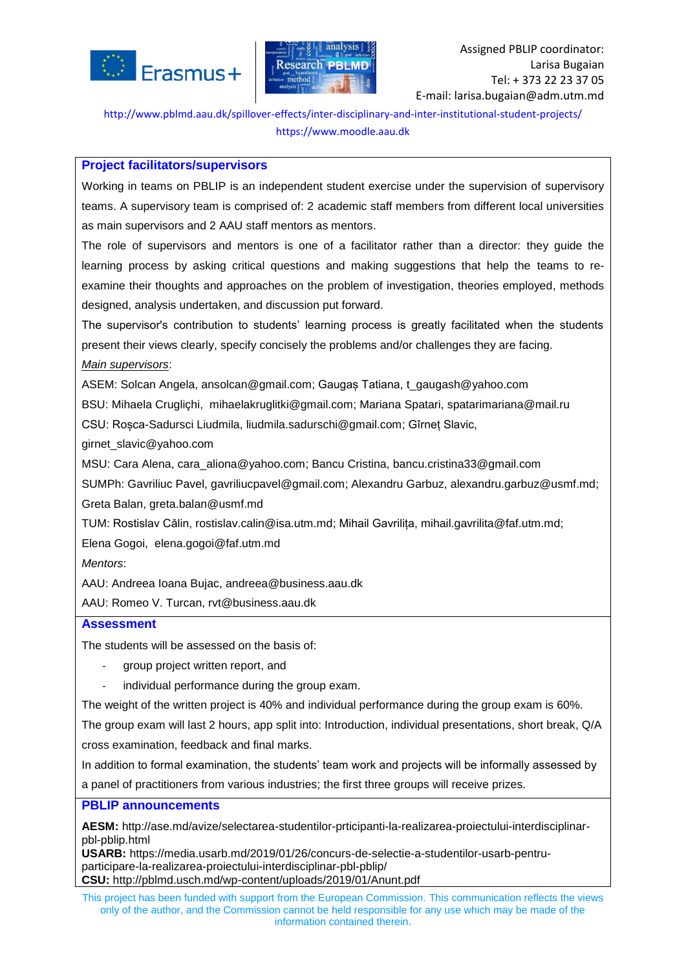



### **Project facilitators/supervisors**

Working in teams on PBLIP is an independent student exercise under the supervision of supervisory teams. A supervisory team is comprised of: 2 academic staff members from different local universities as main supervisors and 2 AAU staff mentors as mentors.

The role of supervisors and mentors is one of a facilitator rather than a director: they guide the learning process by asking critical questions and making suggestions that help the teams to reexamine their thoughts and approaches on the problem of investigation, theories employed, methods designed, analysis undertaken, and discussion put forward.

The supervisor's contribution to students' learning process is greatly facilitated when the students present their views clearly, specify concisely the problems and/or challenges they are facing.

### *Main supervisors*:

ASEM: Solcan Angela, [ansolcan@gmail.com;](mailto:ansolcan@gmail.com) Gaugaș Tatiana, [t\\_gaugash@yahoo.com](mailto:t_gaugash@yahoo.com)

BSU: Mihaela Crugliçhi, [mihaelakruglitki@gmail.com;](mailto:mihaelakruglitki@gmail.com) Mariana Spatari, [spatarimariana@mail.ru](mailto:spatarimariana@mail.ru)

CSU: Roșca-Sadursci Liudmila, [liudmila.sadurschi@gmail.com;](mailto:liudmila.sadurschi@gmail.com) Gîrneț Slavic,

[girnet\\_slavic@yahoo.com](mailto:girnet_slavic@yahoo.com)

MSU: Cara Alena, [cara\\_aliona@yahoo.com;](mailto:cara_aliona@yahoo.com) Bancu Cristina, [bancu.cristina33@gmail.com](mailto:bancu.cristina33@gmail.com)

SUMPh: Gavriliuc Pavel, [gavriliucpavel@gmail.com;](mailto:gavriliucpavel@gmail.com) Alexandru Garbuz, [alexandru.garbuz@usmf.md;](mailto:alexandru.garbuz@usmf.md)

Greta Balan, [greta.balan@usmf.md](mailto:greta.balan@usmf.md)

TUM: Rostislav Călin, [rostislav.calin@isa.utm.md;](mailto:rostislav.calin@isa.utm.md) Mihail Gavrilița, [mihail.gavrilita@faf.utm.md;](mailto:mihail.gavrilita@faf.utm.md)

Elena Gogoi, [elena.gogoi@faf.utm.md](mailto:elena.gogoi@faf.utm.md)

*Mentors*:

AAU: Andreea Ioana Bujac, [andreea@business.aau.dk](mailto:andreea@business.aau.dk)

AAU: Romeo V. Turcan, [rvt@business.aau.dk](mailto:rvt@business.aau.dk)

# **Assessment**

The students will be assessed on the basis of:

- group project written report, and
- individual performance during the group exam.

The weight of the written project is 40% and individual performance during the group exam is 60%.

The group exam will last 2 hours, app split into: Introduction, individual presentations, short break, Q/A cross examination, feedback and final marks.

In addition to formal examination, the students' team work and projects will be informally assessed by a panel of practitioners from various industries; the first three groups will receive prizes.

### **PBLIP announcements**

**AESM:** [http://ase.md/avize/selectarea-studentilor-prticipanti-la-realizarea-proiectului-interdisciplinar](http://ase.md/avize/selectarea-studentilor-prticipanti-la-realizarea-proiectului-interdisciplinar-pbl-pblip.html)[pbl-pblip.html](http://ase.md/avize/selectarea-studentilor-prticipanti-la-realizarea-proiectului-interdisciplinar-pbl-pblip.html)

**USARB:** [https://media.usarb.md/2019/01/26/concurs-de-selectie-a-studentilor-usarb-pentru](https://media.usarb.md/2019/01/26/concurs-de-selectie-a-studentilor-usarb-pentru-participare-la-realizarea-proiectului-interdisciplinar-pbl-pblip/)[participare-la-realizarea-proiectului-interdisciplinar-pbl-pblip/](https://media.usarb.md/2019/01/26/concurs-de-selectie-a-studentilor-usarb-pentru-participare-la-realizarea-proiectului-interdisciplinar-pbl-pblip/) **CSU:** http://pblmd.usch.md/wp-content/uploads/2019/01/Anunt.pdf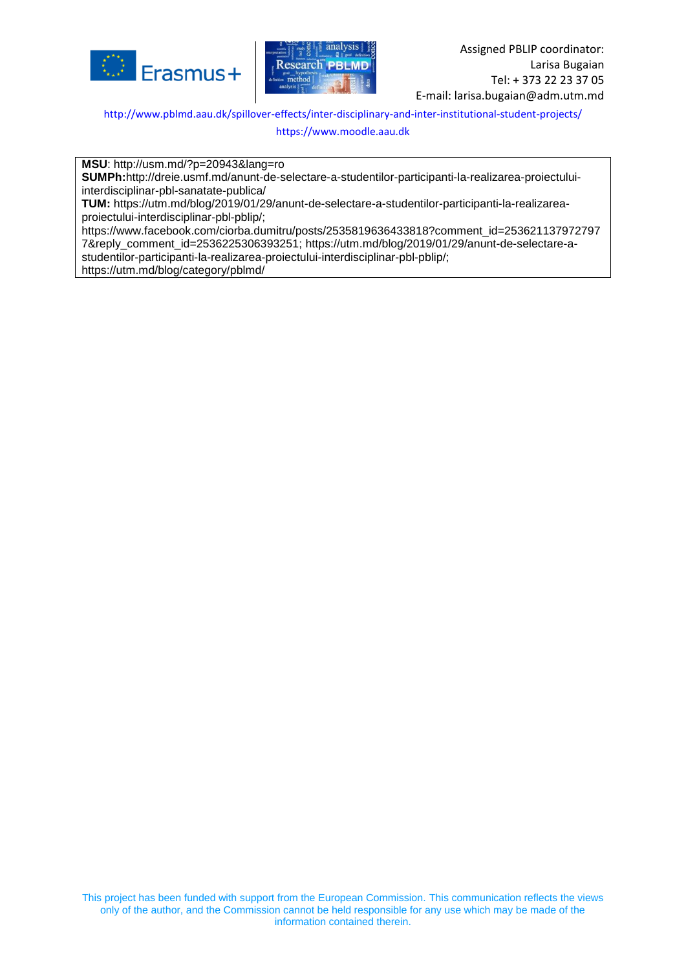



<http://www.pblmd.aau.dk/spillover-effects/inter-disciplinary-and-inter-institutional-student-projects/>

[https://www.moodle.aau.dk](https://www.moodle.aau.dk/)

**MSU**: http://usm.md/?p=20943&lang=ro

**SUMPh:**[http://dreie.usmf.md/anunt-de-selectare-a-studentilor-participanti-la-realizarea-proiectului](http://dreie.usmf.md/anunt-de-selectare-a-studentilor-participanti-la-realizarea-proiectului-interdisciplinar-pbl-sanatate-publica/)[interdisciplinar-pbl-sanatate-publica/](http://dreie.usmf.md/anunt-de-selectare-a-studentilor-participanti-la-realizarea-proiectului-interdisciplinar-pbl-sanatate-publica/)

**TUM:** [https://utm.md/blog/2019/01/29/anunt-de-selectare-a-studentilor-participanti-la-realizarea](https://utm.md/blog/2019/01/29/anunt-de-selectare-a-studentilor-participanti-la-realizarea-proiectului-interdisciplinar-pbl-pblip/)[proiectului-interdisciplinar-pbl-pblip/;](https://utm.md/blog/2019/01/29/anunt-de-selectare-a-studentilor-participanti-la-realizarea-proiectului-interdisciplinar-pbl-pblip/)

[https://www.facebook.com/ciorba.dumitru/posts/2535819636433818?comment\\_id=253621137972797](https://www.facebook.com/ciorba.dumitru/posts/2535819636433818?comment_id=2536211379727977&reply_comment_id=2536225306393251) [7&reply\\_comment\\_id=2536225306393251;](https://www.facebook.com/ciorba.dumitru/posts/2535819636433818?comment_id=2536211379727977&reply_comment_id=2536225306393251) [https://utm.md/blog/2019/01/29/anunt-de-selectare-a](https://utm.md/blog/2019/01/29/anunt-de-selectare-a-studentilor-participanti-la-realizarea-proiectului-interdisciplinar-pbl-pblip/)[studentilor-participanti-la-realizarea-proiectului-interdisciplinar-pbl-pblip/;](https://utm.md/blog/2019/01/29/anunt-de-selectare-a-studentilor-participanti-la-realizarea-proiectului-interdisciplinar-pbl-pblip/) <https://utm.md/blog/category/pblmd/>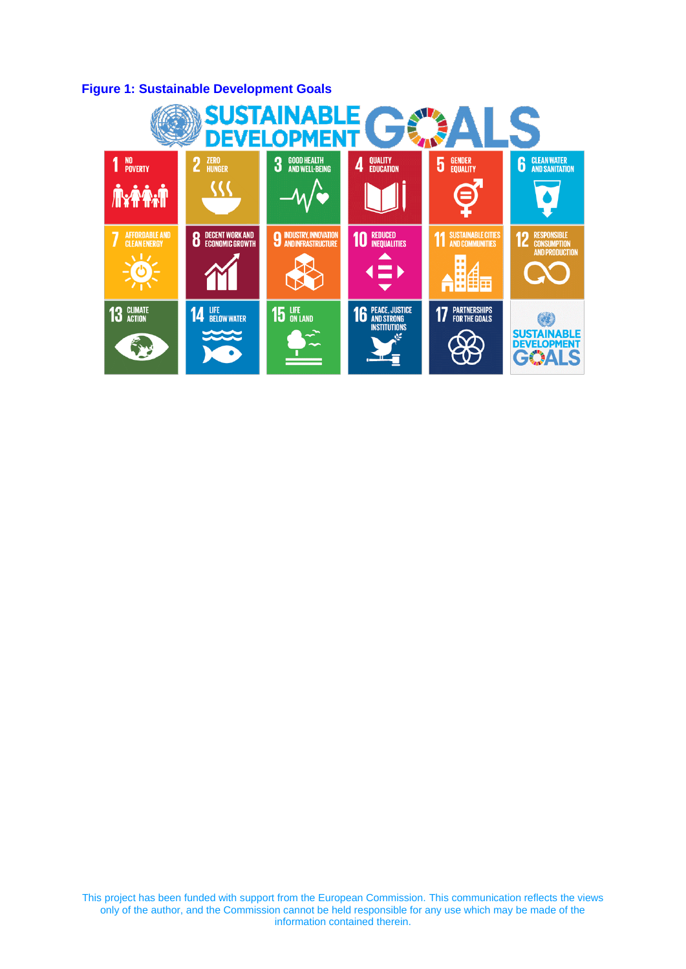# **Figure 1: Sustainable Development Goals**

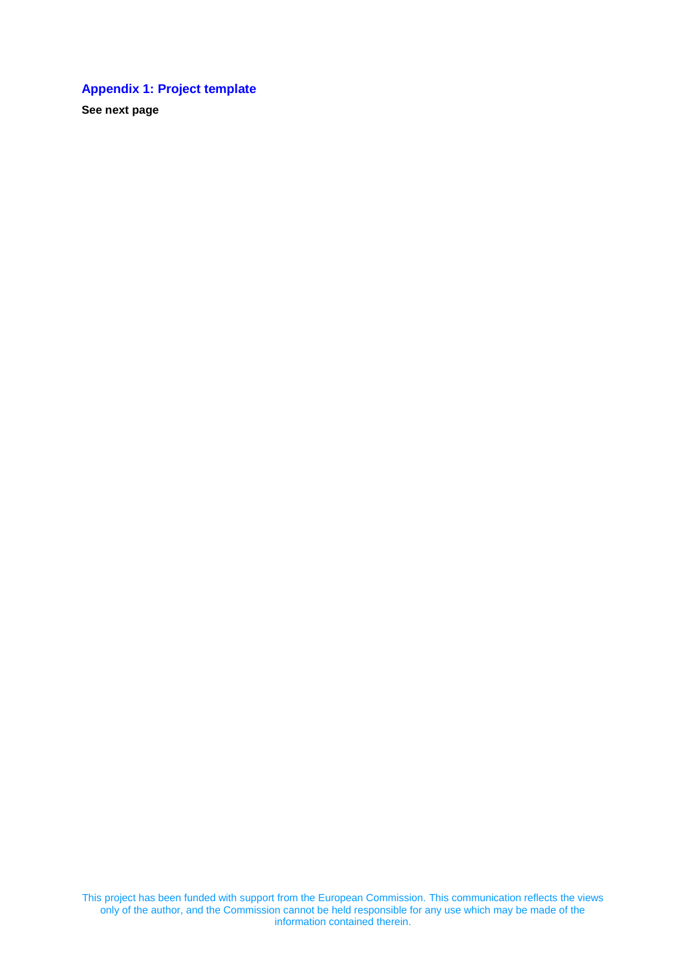# **Appendix 1: Project template**

**See next page**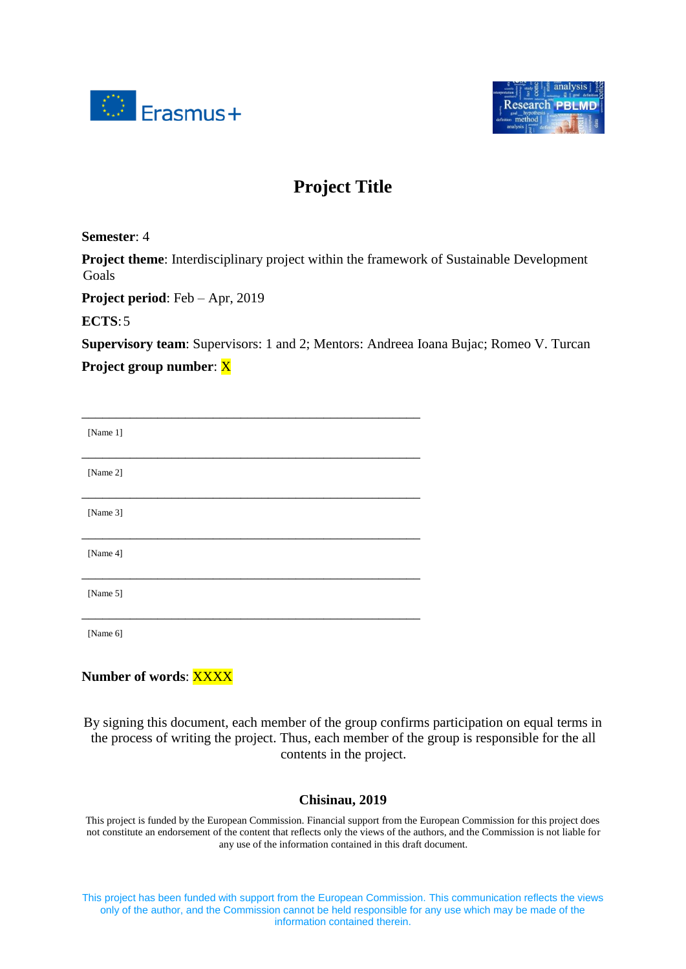



# **Project Title**

**Semester**: 4

**Project theme**: Interdisciplinary project within the framework of Sustainable Development Goals

**Project period**: Feb – Apr, 2019

**ECTS**:5

**Supervisory team**: Supervisors: 1 and 2; Mentors: Andreea Ioana Bujac; Romeo V. Turcan

**Project group number**: X

| [Name 1] |  |
|----------|--|
| [Name 2] |  |
| [Name 3] |  |
| [Name 4] |  |
| [Name 5] |  |
|          |  |

[Name 6]

# **Number of words**: XXXX

By signing this document, each member of the group confirms participation on equal terms in the process of writing the project. Thus, each member of the group is responsible for the all contents in the project.

### **Chisinau, 2019**

This project is funded by the European Commission. Financial support from the European Commission for this project does not constitute an endorsement of the content that reflects only the views of the authors, and the Commission is not liable for any use of the information contained in this draft document.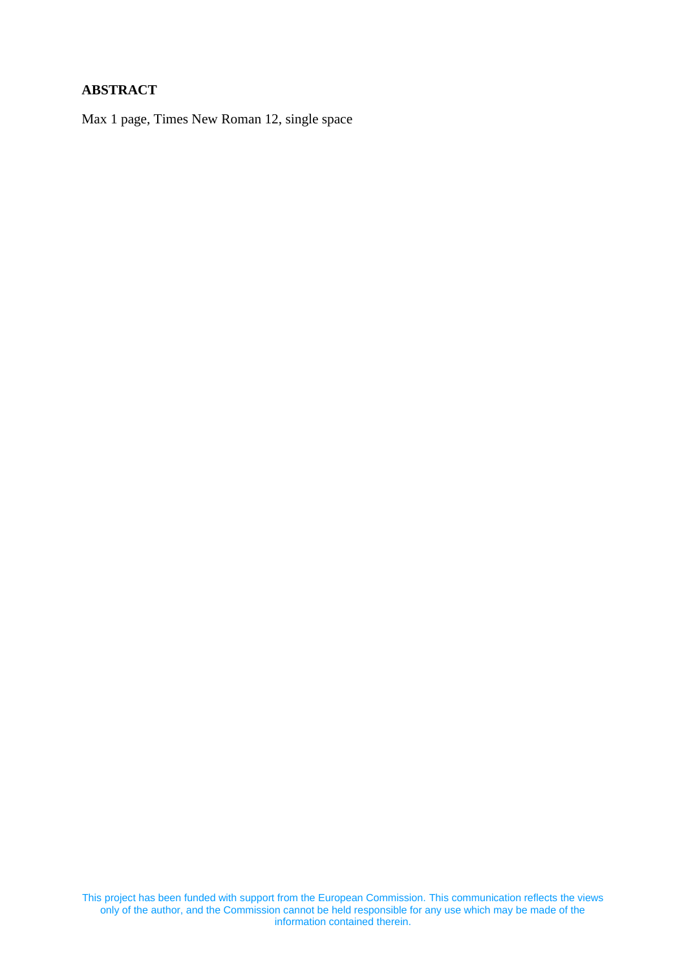# **ABSTRACT**

Max 1 page, Times New Roman 12, single space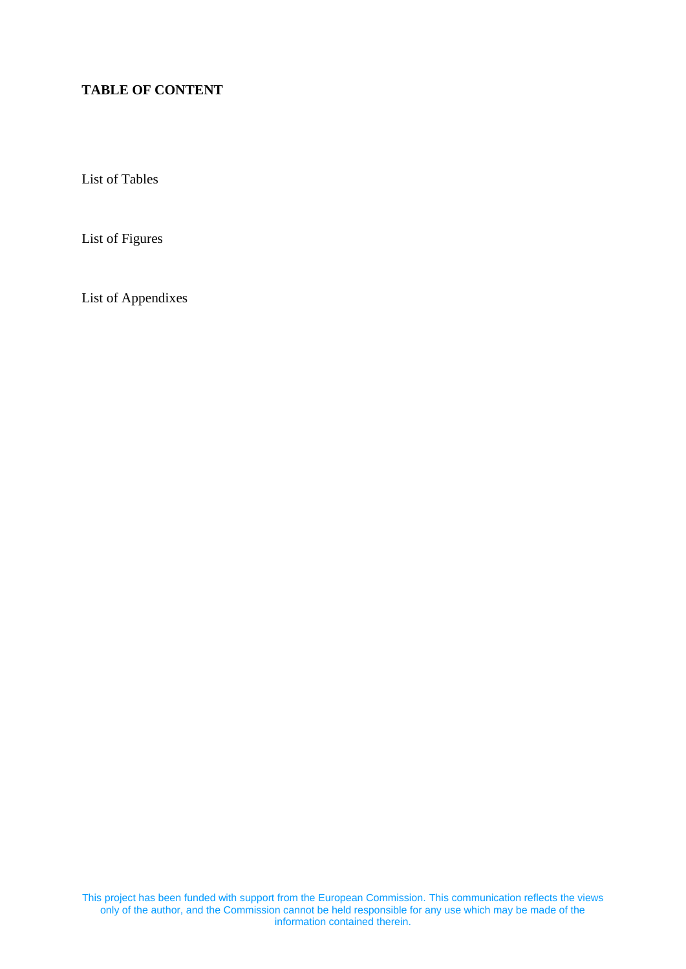# **TABLE OF CONTENT**

List of Tables

List of Figures

List of Appendixes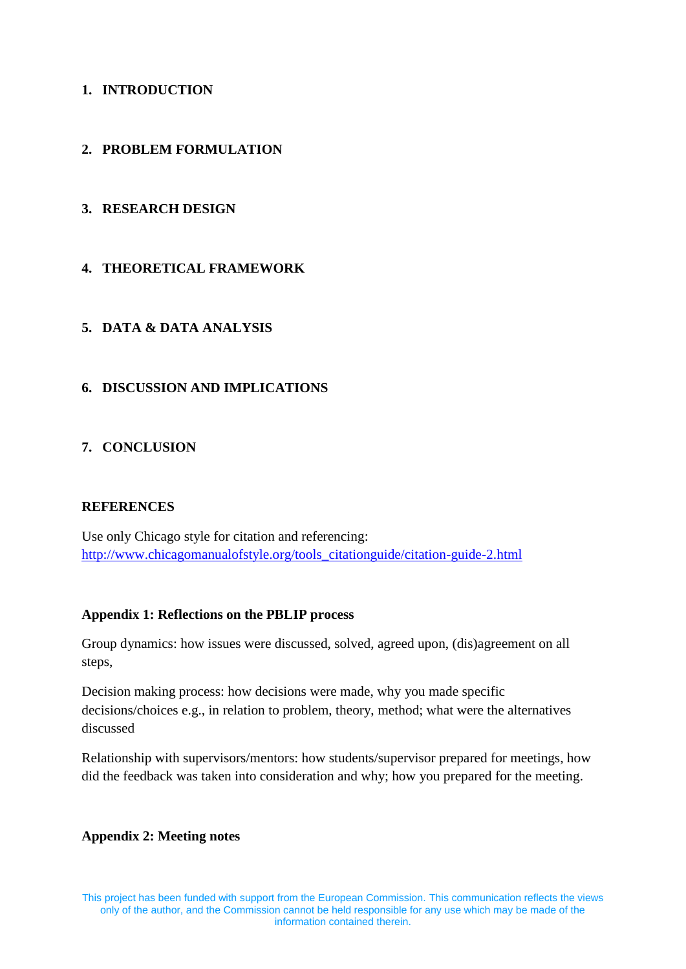# **1. INTRODUCTION**

# **2. PROBLEM FORMULATION**

# **3. RESEARCH DESIGN**

# **4. THEORETICAL FRAMEWORK**

# **5. DATA & DATA ANALYSIS**

# **6. DISCUSSION AND IMPLICATIONS**

## **7. CONCLUSION**

### **REFERENCES**

Use only Chicago style for citation and referencing: [http://www.chicagomanualofstyle.org/tools\\_citationguide/citation-guide-2.html](http://www.chicagomanualofstyle.org/tools_citationguide/citation-guide-2.html)

### **Appendix 1: Reflections on the PBLIP process**

Group dynamics: how issues were discussed, solved, agreed upon, (dis)agreement on all steps,

Decision making process: how decisions were made, why you made specific decisions/choices e.g., in relation to problem, theory, method; what were the alternatives discussed

Relationship with supervisors/mentors: how students/supervisor prepared for meetings, how did the feedback was taken into consideration and why; how you prepared for the meeting.

### **Appendix 2: Meeting notes**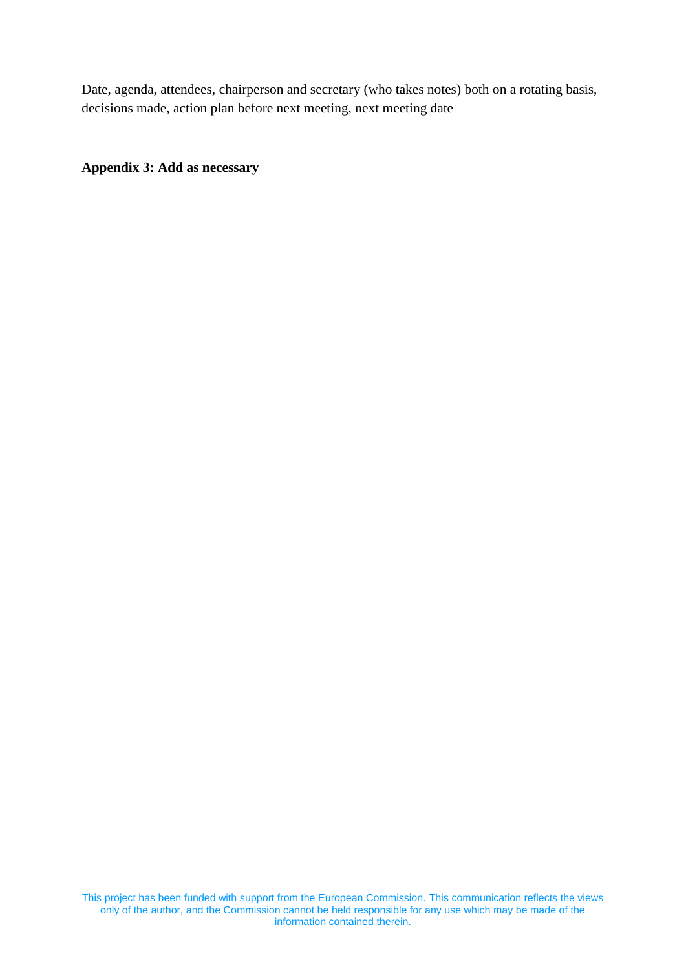Date, agenda, attendees, chairperson and secretary (who takes notes) both on a rotating basis, decisions made, action plan before next meeting, next meeting date

**Appendix 3: Add as necessary**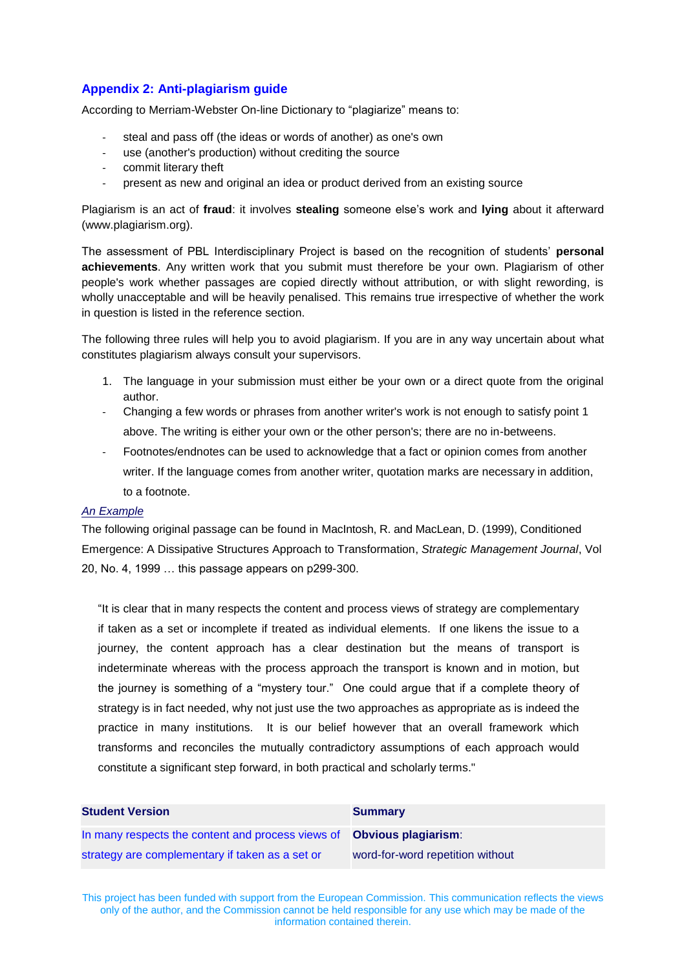# **Appendix 2: Anti-plagiarism guide**

According to Merriam-Webster On-line Dictionary to "plagiarize" means to:

- steal and pass off (the ideas or words of another) as one's own
- use (another's production) without crediting the source
- commit literary theft
- present as new and original an idea or product derived from an existing source

Plagiarism is an act of **fraud**: it involves **stealing** someone else's work and **lying** about it afterward [\(www.plagiarism.org\)](http://www.plagiarism.org/).

The assessment of PBL Interdisciplinary Project is based on the recognition of students' **personal achievements**. Any written work that you submit must therefore be your own. Plagiarism of other people's work whether passages are copied directly without attribution, or with slight rewording, is wholly unacceptable and will be heavily penalised. This remains true irrespective of whether the work in question is listed in the reference section.

The following three rules will help you to avoid plagiarism. If you are in any way uncertain about what constitutes plagiarism always consult your supervisors.

- 1. The language in your submission must either be your own or a direct quote from the original author.
- Changing a few words or phrases from another writer's work is not enough to satisfy point 1 above. The writing is either your own or the other person's; there are no in-betweens.
- Footnotes/endnotes can be used to acknowledge that a fact or opinion comes from another writer. If the language comes from another writer, quotation marks are necessary in addition, to a footnote.

#### *An Example*

The following original passage can be found in MacIntosh, R. and MacLean, D. (1999), Conditioned Emergence: A Dissipative Structures Approach to Transformation, *Strategic Management Journal*, Vol 20, No. 4, 1999 … this passage appears on p299-300.

"It is clear that in many respects the content and process views of strategy are complementary if taken as a set or incomplete if treated as individual elements. If one likens the issue to a journey, the content approach has a clear destination but the means of transport is indeterminate whereas with the process approach the transport is known and in motion, but the journey is something of a "mystery tour." One could argue that if a complete theory of strategy is in fact needed, why not just use the two approaches as appropriate as is indeed the practice in many institutions. It is our belief however that an overall framework which transforms and reconciles the mutually contradictory assumptions of each approach would constitute a significant step forward, in both practical and scholarly terms."

| <b>Student Version</b>                                                        | <b>Summary</b>                   |
|-------------------------------------------------------------------------------|----------------------------------|
| In many respects the content and process views of <b>Obvious plagiarism</b> : |                                  |
| strategy are complementary if taken as a set or                               | word-for-word repetition without |